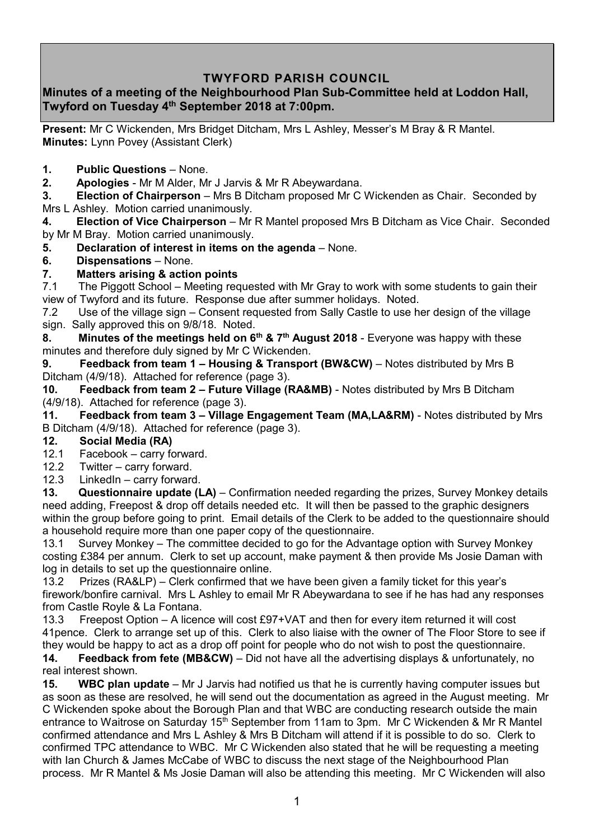# **TWYFORD PARISH COUNCIL**

## **Minutes of a meeting of the Neighbourhood Plan Sub-Committee held at Loddon Hall, Twyford on Tuesday 4 th September 2018 at 7:00pm.**

**Present:** Mr C Wickenden, Mrs Bridget Ditcham, Mrs L Ashley, Messer's M Bray & R Mantel. **Minutes:** Lynn Povey (Assistant Clerk)

- **1. Public Questions** None.
- **2. Apologies** Mr M Alder, Mr J Jarvis & Mr R Abeywardana.

**3. Election of Chairperson** – Mrs B Ditcham proposed Mr C Wickenden as Chair. Seconded by Mrs L Ashley. Motion carried unanimously.

**4. Election of Vice Chairperson** – Mr R Mantel proposed Mrs B Ditcham as Vice Chair. Seconded by Mr M Bray. Motion carried unanimously.

- **5. Declaration of interest in items on the agenda** None.
- **6. Dispensations**  None.
- **7. Matters arising & action points**

7.1 The Piggott School – Meeting requested with Mr Gray to work with some students to gain their view of Twyford and its future. Response due after summer holidays. Noted.

7.2 Use of the village sign – Consent requested from Sally Castle to use her design of the village sign. Sally approved this on 9/8/18. Noted.

**8. Minutes of the meetings held on 6th & 7th August 2018** - Everyone was happy with these minutes and therefore duly signed by Mr C Wickenden.

**9. Feedback from team 1 – Housing & Transport (BW&CW)** – Notes distributed by Mrs B Ditcham (4/9/18). Attached for reference (page 3).

**10. Feedback from team 2 – Future Village (RA&MB)** - Notes distributed by Mrs B Ditcham (4/9/18). Attached for reference (page 3).

**11. Feedback from team 3 – Village Engagement Team (MA,LA&RM)** - Notes distributed by Mrs B Ditcham (4/9/18). Attached for reference (page 3).

#### **12. Social Media (RA)**

- 12.1 Facebook carry forward.
- 12.2 Twitter carry forward.
- 12.3 LinkedIn carry forward.

**13. Questionnaire update (LA)** – Confirmation needed regarding the prizes, Survey Monkey details need adding, Freepost & drop off details needed etc. It will then be passed to the graphic designers within the group before going to print. Email details of the Clerk to be added to the questionnaire should a household require more than one paper copy of the questionnaire.

13.1 Survey Monkey – The committee decided to go for the Advantage option with Survey Monkey costing £384 per annum. Clerk to set up account, make payment & then provide Ms Josie Daman with log in details to set up the questionnaire online.

13.2 Prizes (RA&LP) – Clerk confirmed that we have been given a family ticket for this year's firework/bonfire carnival. Mrs L Ashley to email Mr R Abeywardana to see if he has had any responses from Castle Royle & La Fontana.

13.3 Freepost Option – A licence will cost £97+VAT and then for every item returned it will cost 41pence. Clerk to arrange set up of this. Clerk to also liaise with the owner of The Floor Store to see if they would be happy to act as a drop off point for people who do not wish to post the questionnaire.

**14. Feedback from fete (MB&CW)** – Did not have all the advertising displays & unfortunately, no real interest shown.

**15. WBC plan update** – Mr J Jarvis had notified us that he is currently having computer issues but as soon as these are resolved, he will send out the documentation as agreed in the August meeting. Mr C Wickenden spoke about the Borough Plan and that WBC are conducting research outside the main entrance to Waitrose on Saturday 15<sup>th</sup> September from 11am to 3pm. Mr C Wickenden & Mr R Mantel confirmed attendance and Mrs L Ashley & Mrs B Ditcham will attend if it is possible to do so. Clerk to confirmed TPC attendance to WBC. Mr C Wickenden also stated that he will be requesting a meeting with Ian Church & James McCabe of WBC to discuss the next stage of the Neighbourhood Plan process. Mr R Mantel & Ms Josie Daman will also be attending this meeting. Mr C Wickenden will also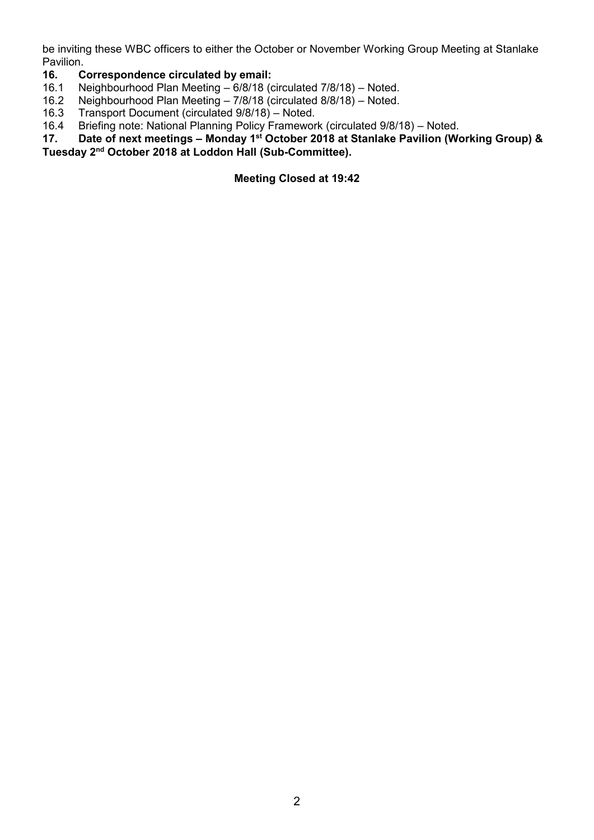be inviting these WBC officers to either the October or November Working Group Meeting at Stanlake Pavilion.

#### **16. Correspondence circulated by email:**

- 16.1 Neighbourhood Plan Meeting 6/8/18 (circulated 7/8/18) Noted.
- 16.2 Neighbourhood Plan Meeting 7/8/18 (circulated 8/8/18) Noted.
- 
- 16.3 Transport Document (circulated 9/8/18) Noted.<br>16.4 Briefing note: National Planning Policy Framewor 16.4 Briefing note: National Planning Policy Framework (circulated 9/8/18) – Noted.<br>17. Date of next meetings – Monday 1<sup>st</sup> October 2018 at Stanlake Pavilion (Wo
- **17. Date of next meetings – Monday 1st October 2018 at Stanlake Pavilion (Working Group) & Tuesday 2 nd October 2018 at Loddon Hall (Sub-Committee).**

**Meeting Closed at 19:42**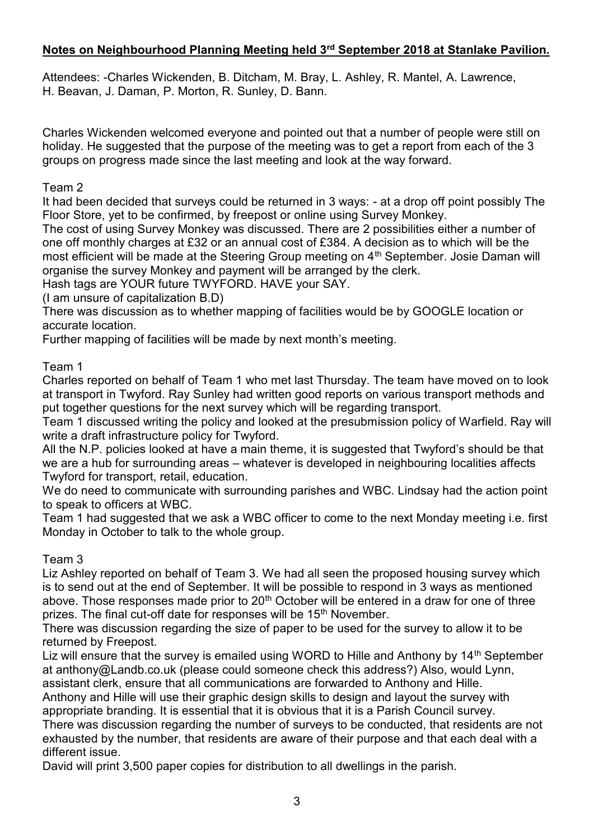# **Notes on Neighbourhood Planning Meeting held 3rd September 2018 at Stanlake Pavilion.**

Attendees: -Charles Wickenden, B. Ditcham, M. Bray, L. Ashley, R. Mantel, A. Lawrence, H. Beavan, J. Daman, P. Morton, R. Sunley, D. Bann.

Charles Wickenden welcomed everyone and pointed out that a number of people were still on holiday. He suggested that the purpose of the meeting was to get a report from each of the 3 groups on progress made since the last meeting and look at the way forward.

### Team 2

It had been decided that surveys could be returned in 3 ways: - at a drop off point possibly The Floor Store, yet to be confirmed, by freepost or online using Survey Monkey.

The cost of using Survey Monkey was discussed. There are 2 possibilities either a number of one off monthly charges at £32 or an annual cost of £384. A decision as to which will be the most efficient will be made at the Steering Group meeting on 4<sup>th</sup> September. Josie Daman will organise the survey Monkey and payment will be arranged by the clerk.

Hash tags are YOUR future TWYFORD. HAVE your SAY.

(I am unsure of capitalization B.D)

There was discussion as to whether mapping of facilities would be by GOOGLE location or accurate location.

Further mapping of facilities will be made by next month's meeting.

### Team 1

Charles reported on behalf of Team 1 who met last Thursday. The team have moved on to look at transport in Twyford. Ray Sunley had written good reports on various transport methods and put together questions for the next survey which will be regarding transport.

Team 1 discussed writing the policy and looked at the presubmission policy of Warfield. Ray will write a draft infrastructure policy for Twyford.

All the N.P. policies looked at have a main theme, it is suggested that Twyford's should be that we are a hub for surrounding areas – whatever is developed in neighbouring localities affects Twyford for transport, retail, education.

We do need to communicate with surrounding parishes and WBC. Lindsay had the action point to speak to officers at WBC.

Team 1 had suggested that we ask a WBC officer to come to the next Monday meeting i.e. first Monday in October to talk to the whole group.

### Team 3

Liz Ashley reported on behalf of Team 3. We had all seen the proposed housing survey which is to send out at the end of September. It will be possible to respond in 3 ways as mentioned above. Those responses made prior to  $20<sup>th</sup>$  October will be entered in a draw for one of three prizes. The final cut-off date for responses will be 15<sup>th</sup> November.

There was discussion regarding the size of paper to be used for the survey to allow it to be returned by Freepost.

Liz will ensure that the survey is emailed using WORD to Hille and Anthony by 14<sup>th</sup> September at anthony@Landb.co.uk (please could someone check this address?) Also, would Lynn, assistant clerk, ensure that all communications are forwarded to Anthony and Hille.

Anthony and Hille will use their graphic design skills to design and layout the survey with appropriate branding. It is essential that it is obvious that it is a Parish Council survey.

There was discussion regarding the number of surveys to be conducted, that residents are not exhausted by the number, that residents are aware of their purpose and that each deal with a different issue.

David will print 3,500 paper copies for distribution to all dwellings in the parish.